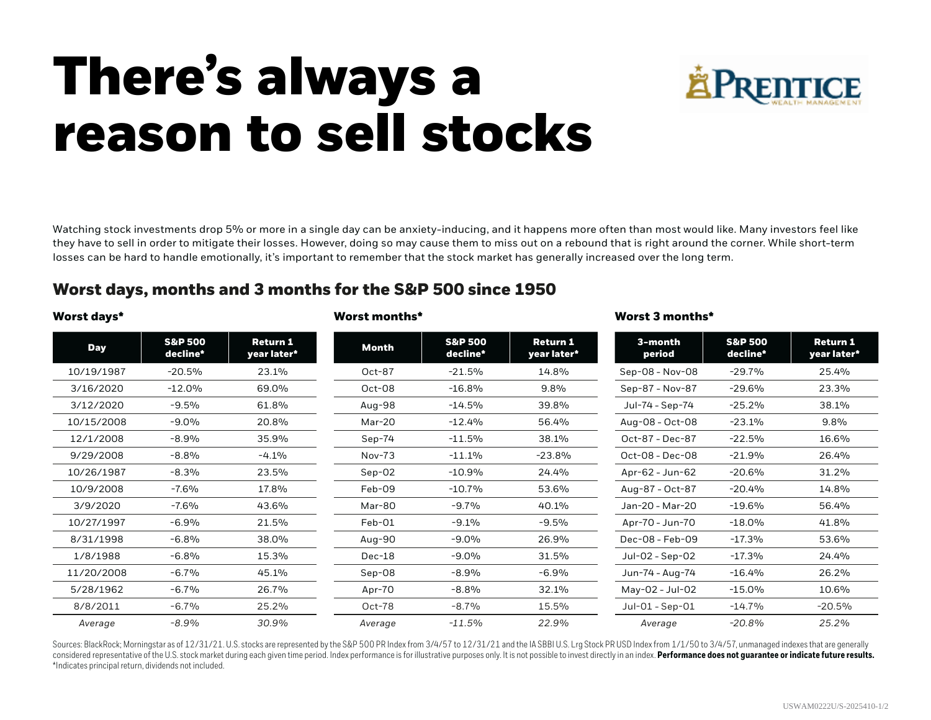## **There's always a reason to sell stocks**



Watching stock investments drop 5% or more in a single day can be anxiety-inducing, and it happens more often than most would like. Many investors feel like they have to sell in order to mitigate their losses. However, doing so may cause them to miss out on a rebound that is right around the corner. While short-term losses can be hard to handle emotionally, it's important to remember that the stock market has generally increased over the long term.

**Worst days\* Worst months\* Worst 3 months\***

## **Worst days, months and 3 months for the S&P 500 since 1950**

| Worst days* |  |  |
|-------------|--|--|
|             |  |  |

## **Day S&P 500 decline\* Return 1 year later\*** 10/19/1987 -20.5% 23.1% 3/16/2020 -12.0% 69.0% 3/12/2020 -9.5% 61.8% 10/15/2008 -9.0% 20.8% 12/1/2008 -8.9% 35.9%  $9/29/2008$   $-8.8\%$   $-4.1\%$ 10/26/1987 -8.3% 23.5% 10/9/2008 -7.6% 17.8% 3/9/2020 -7.6% 43.6% 10/27/1997 -6.9% 21.5% 8/31/1998 -6.8% 38.0% 1/8/1988 -6.8% 15.3% 11/20/2008 -6.7% 45.1% 5/28/1962 -6.7% 26.7% 8/8/2011 -6.7% 25.2% *Average -8.9% 30.9%* **Month S&P 500 decline\* Return 1 year later\*** Oct-87 -21.5% 14.8% Oct-08 -16.8% 9.8% Aug-98 -14.5% 39.8% Mar-20 -12.4% 56.4% Sep-74  $-11.5\%$  38.1% Nov-73  $-11.1\%$   $-23.8\%$ Sep-02 -10.9% 24.4% Feb-09 -10.7% 53.6% Mar-80 -9.7% 40.1% Feb-01 -9.1% -9.5% Aug-90 -9.0% 26.9% Dec-18 -9.0% 31.5% Sep-08 -8.9% -6.9% Apr-70 -8.8% 32.1% Oct-78 -8.7% 15.5% *Average -11.5% 22.9%* **3-month period S&P 500 decline\* Return 1 year later\*** Sep-08 - Nov-08 - 29.7% 25.4% Sep-87 - Nov-87 - 29.6% 23.3% Jul-74 - Sep-74 -25.2% 38.1% Aug-08 - Oct-08 -23.1% 9.8% Oct-87 - Dec-87 -22.5% 16.6% Oct-08 - Dec-08 -21.9% 26.4% Apr-62 - Jun-62 - 20.6% 31.2% Aug-87 - Oct-87 - 20.4% 14.8% Jan-20 - Mar-20 -19.6% 56.4% Apr-70 - Jun-70 - 18.0% 41.8% Dec-08 - Feb-09 - 17.3% 53.6% Jul-02 - Sep-02 -17.3% 24.4% Jun-74 - Aug-74 -16.4% 26.2% May-02 - Jul-02 -15.0% 10.6% Jul-01 - Sep-01 -14.7% -20.5% *Average -20.8% 25.2%*

Sources: BlackRock: Morningstar as of 12/31/21. U.S. stocks are represented by the S&P 500 PR Index from 3/4/57 to 12/31/21 and the IASBBI U.S. Lrg Stock PR USD Index from 1/1/50 to 3/4/57, unmanaged indexes that are gener considered representative of the U.S. stock market during each given time period. Index performance is for illustrative purposes only. It is not possible to invest directly in an index. Performance does not guarantee or in \*Indicates principal return, dividends not included.